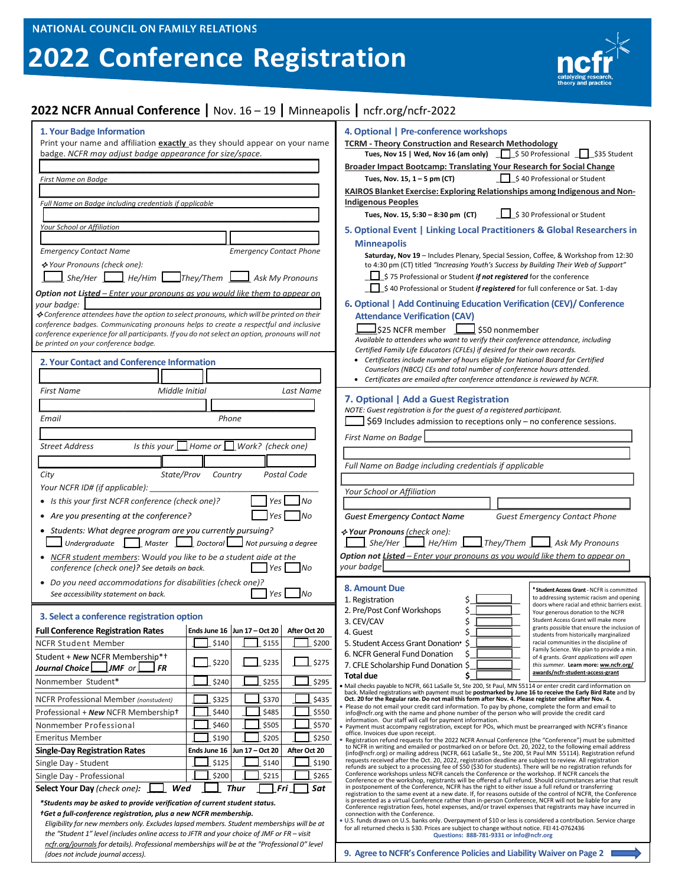# **2022 Conference Registration**



# **2022 NCFR Annual Conference |** Nov. 16 – 19 **|** Minneapolis **|** ncfr.org/ncfr-2022

| 1. Your Badge Information<br>Print your name and affiliation exactly as they should appear on your name<br>badge. NCFR may adjust badge appearance for size/space.<br>First Name on Badge<br>Full Name on Badge including credentials if applicable<br><b>Your School or Affiliation</b><br><b>Emergency Contact Name</b><br><b>Emergency Contact Phone</b><br><i><b>↑ Your Pronouns (check one):</b></i><br>$\Box$ She/Her $\Box$ He/Him They/Them $\Box$<br>Ask My Pronouns                                                                                                                                                                                                                                                                                                                                                                                                                                                                                                                    | 4. Optional   Pre-conference workshops<br><b>TCRM - Theory Construction and Research Methodology</b><br><b>Broader Impact Bootcamp: Translating Your Research for Social Change</b><br>\$40 Professional or Student<br>Tues, Nov. 15, 1 - 5 pm (CT)<br>KAIROS Blanket Exercise: Exploring Relationships among Indigenous and Non-<br><b>Indigenous Peoples</b><br>$\Box$ \$30 Professional or Student<br>Tues, Nov. 15, 5:30 - 8:30 pm (CT)<br>5. Optional Event   Linking Local Practitioners & Global Researchers in<br><b>Minneapolis</b><br>Saturday, Nov 19 - Includes Plenary, Special Session, Coffee, & Workshop from 12:30<br>to 4:30 pm (CT) titled "Increasing Youth's Success by Building Their Web of Support"<br>\$75 Professional or Student <i>if not registered</i> for the conference<br>\$40 Professional or Student <i>if registered</i> for full conference or Sat. 1-day                                                                                                                                                                                                                                                                                                                                                                                                                                                                                                                                                                                                                                                                                                                                                                                                                                                                                                                                                                                                                                                                                                                                                                                                                                                                                                                                                                                                                                                                                                                                                                                                                                                 |  |  |  |  |  |
|--------------------------------------------------------------------------------------------------------------------------------------------------------------------------------------------------------------------------------------------------------------------------------------------------------------------------------------------------------------------------------------------------------------------------------------------------------------------------------------------------------------------------------------------------------------------------------------------------------------------------------------------------------------------------------------------------------------------------------------------------------------------------------------------------------------------------------------------------------------------------------------------------------------------------------------------------------------------------------------------------|------------------------------------------------------------------------------------------------------------------------------------------------------------------------------------------------------------------------------------------------------------------------------------------------------------------------------------------------------------------------------------------------------------------------------------------------------------------------------------------------------------------------------------------------------------------------------------------------------------------------------------------------------------------------------------------------------------------------------------------------------------------------------------------------------------------------------------------------------------------------------------------------------------------------------------------------------------------------------------------------------------------------------------------------------------------------------------------------------------------------------------------------------------------------------------------------------------------------------------------------------------------------------------------------------------------------------------------------------------------------------------------------------------------------------------------------------------------------------------------------------------------------------------------------------------------------------------------------------------------------------------------------------------------------------------------------------------------------------------------------------------------------------------------------------------------------------------------------------------------------------------------------------------------------------------------------------------------------------------------------------------------------------------------------------------------------------------------------------------------------------------------------------------------------------------------------------------------------------------------------------------------------------------------------------------------------------------------------------------------------------------------------------------------------------------------------------------------------------------------------------------------------------------------------|--|--|--|--|--|
| Option not Listed - Enter your pronouns as you would like them to appear on<br>your badge:<br>$\triangle$ Conference attendees have the option to select pronouns, which will be printed on their<br>conference badges. Communicating pronouns helps to create a respectful and inclusive<br>conference experience for all participants. If you do not select an option, pronouns will not<br>be printed on your conference badge.<br>2. Your Contact and Conference Information                                                                                                                                                                                                                                                                                                                                                                                                                                                                                                                 | 6. Optional   Add Continuing Education Verification (CEV)/ Conference<br><b>Attendance Verification (CAV)</b><br>S25 NCFR member   S50 nonmember<br>Available to attendees who want to verify their conference attendance, including<br>Certified Family Life Educators (CFLEs) if desired for their own records.<br>• Certificates include number of hours eligible for National Board for Certified<br>Counselors (NBCC) CEs and total number of conference hours attended.<br>• Certificates are emailed after conference attendance is reviewed by NCFR.                                                                                                                                                                                                                                                                                                                                                                                                                                                                                                                                                                                                                                                                                                                                                                                                                                                                                                                                                                                                                                                                                                                                                                                                                                                                                                                                                                                                                                                                                                                                                                                                                                                                                                                                                                                                                                                                                                                                                                                   |  |  |  |  |  |
| <b>First Name</b><br>Middle Initial<br>Last Name<br>Email<br>Phone<br>Is this your $\Box$ Home or $\Box$ Work? (check one)<br><b>Street Address</b><br>State/Prov<br>Country<br>Postal Code<br>City<br>Your NCFR ID# (if applicable):<br>• Is this your first NCFR conference (check one)?<br>Yes  <br><b>No</b><br>• Are you presenting at the conference?<br>No<br>Yes<br>• Students: What degree program are you currently pursuing?<br>Undergraduate Master Doctoral Not pursuing a degree<br>• NCFR student members: Would you like to be a student aide at the<br>conference (check one)? See details on back.<br>Yes  <br><b>No</b>                                                                                                                                                                                                                                                                                                                                                       | 7. Optional   Add a Guest Registration<br>NOTE: Guest registration is for the quest of a registered participant.<br>$\mid$ \$69 Includes admission to receptions only – no conference sessions.<br>First Name on Badge<br>Full Name on Badge including credentials if applicable<br>Your School or Affiliation<br><b>Guest Emergency Contact Name</b><br><b>Guest Emergency Contact Phone</b><br><b>Extraval Your Pronouns (check one):</b><br>$\frac{1}{2}$ She/Her $\frac{1}{2}$ He/Him $\frac{1}{2}$ They/Them $\frac{1}{2}$ Ask My Pronouns<br><b>Option not Listed – Enter your pronouns as you would like them to appear on</b><br>your badge                                                                                                                                                                                                                                                                                                                                                                                                                                                                                                                                                                                                                                                                                                                                                                                                                                                                                                                                                                                                                                                                                                                                                                                                                                                                                                                                                                                                                                                                                                                                                                                                                                                                                                                                                                                                                                                                                            |  |  |  |  |  |
| • Do you need accommodations for disabilities (check one)?<br>No<br>See accessibility statement on back.<br>Yes  <br>3. Select a conference registration option<br>Ends June 16 Jun 17 - Oct 20<br>After Oct 20<br><b>Full Conference Registration Rates</b><br>\$140<br>\$155<br>\$200<br>NCFR Student Member<br>Student + New NCFR Membership*+<br>\$220<br>\$235<br>\$275<br>Journal Choice<br>JMF or<br><b>FR</b><br>\$240<br>\$255<br>\$295<br>Nonmember Student*<br>\$435<br><b>NCFR Professional Member (nonstudent)</b><br>\$325<br>\$370<br>\$440<br>\$485<br>\$550<br>Professional + New NCFR Membershipt<br>Nonmember Professional<br>\$460<br>\$505<br>\$570<br>\$205<br>\$190<br>\$250<br><b>Emeritus Member</b><br>Jun 17 - Oct 20<br>Ends June 16<br>After Oct 20<br><b>Single-Day Registration Rates</b><br>\$125<br>\$140<br>\$190<br>Single Day - Student<br>\$200<br>\$215<br>\$265<br>Single Day - Professional<br>Wed<br>Select Your Day (check one):<br>Thur<br>Sat<br>Fri | 8. Amount Due<br>* Student Access Grant - NCFR is committed<br>to addressing systemic racism and opening<br>1. Registration<br>doors where racial and ethnic barriers exist.<br>2. Pre/Post Conf Workshops<br>Ś.<br>Your generous donation to the NCFR<br>Student Access Grant will make more<br>3. CEV/CAV<br>Ś.<br>grants possible that ensure the inclusion of<br>4. Guest<br>students from historically marginalized<br>\$<br>racial communities in the discipline of<br>5. Student Access Grant Donation*<br>Family Science. We plan to provide a min.<br>6. NCFR General Fund Donation<br>\$<br>of 4 grants. Grant applications will open<br>7. CFLE Scholarship Fund Donation \$<br>this summer. Learn more: ww.ncfr.org/<br>awards/ncfr-student-access-grant<br>Total due<br>Mail checks payable to NCFR, 661 LaSalle St, Ste 200, St Paul, MN 55114 or enter credit card information on<br>back. Mailed registrations with payment must be postmarked by June 16 to receive the Early Bird Rate and by<br>Oct. 20 for the Regular rate. Do not mail this form after Nov. 4. Please register online after Nov. 4.<br>Please do not email your credit card information. To pay by phone, complete the form and email to<br>info@ncfr.org with the name and phone number of the person who will provide the credit card<br>information. Our staff will call for payment information.<br>Payment must accompany registration, except for POs, which must be prearranged with NCFR's finance<br>office. Invoices due upon receipt.<br>Registration refund requests for the 2022 NCFR Annual Conference (the "Conference") must be submitted<br>to NCFR in writing and emailed or postmarked on or before Oct. 20, 2022, to the following email address<br>(info@ncfr.org) or mailing address (NCFR, 661 LaSalle St., Ste 200, St Paul MN 55114). Registration refund<br>requests received after the Oct. 20, 2022, registration deadline are subject to review. All registration<br>refunds are subject to a processing fee of \$50 (\$30 for students). There will be no registration refunds for<br>Conference workshops unless NCFR cancels the Conference or the workshop. If NCFR cancels the<br>Conference or the workshop, registrants will be offered a full refund. Should circumstances arise that result<br>in postponement of the Conference, NCFR has the right to either issue a full refund or transferring<br>registration to the same event at a new date. If, for reasons outside of the control of NCFR, the Conference |  |  |  |  |  |
| *Students may be asked to provide verification of current student status.<br>†Get a full-conference registration, plus a new NCFR membership.<br>Eligibility for new members only. Excludes lapsed members. Student memberships will be at<br>the "Student 1" level (includes online access to JFTR and your choice of JMF or FR - visit<br>ncfr.org/journals for details). Professional memberships will be at the "Professional O" level<br>(does not include journal access).                                                                                                                                                                                                                                                                                                                                                                                                                                                                                                                 | is presented as a virtual Conference rather than in-person Conference, NCFR will not be liable for any<br>Conference registration fees, hotel expenses, and/or travel expenses that registrants may have incurred in<br>connection with the Conference.<br>U.S. funds drawn on U.S. banks only. Overpayment of \$10 or less is considered a contribution. Service charge<br>for all returned checks is \$30. Prices are subject to change without notice. FEI 41-0762436<br>Questions: 888-781-9331 or info@ncfr.org<br>9. Agree to NCFR's Conference Policies and Liability Waiver on Page 2                                                                                                                                                                                                                                                                                                                                                                                                                                                                                                                                                                                                                                                                                                                                                                                                                                                                                                                                                                                                                                                                                                                                                                                                                                                                                                                                                                                                                                                                                                                                                                                                                                                                                                                                                                                                                                                                                                                                                  |  |  |  |  |  |